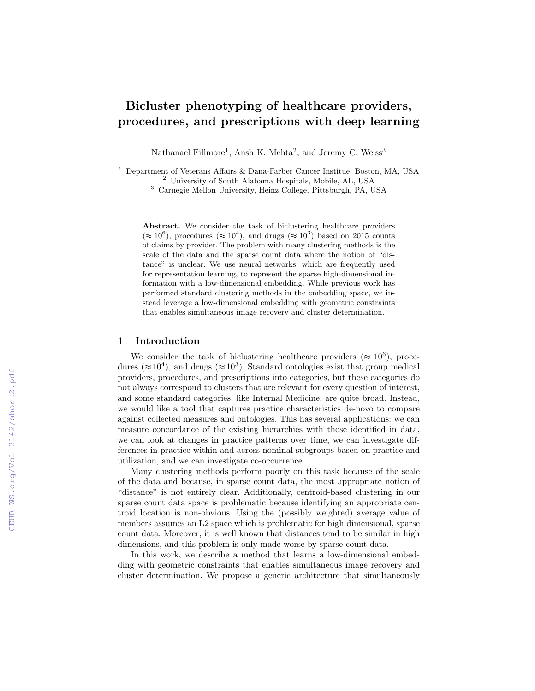# Bicluster phenotyping of healthcare providers, procedures, and prescriptions with deep learning

Nathanael Fillmore<sup>1</sup>, Ansh K. Mehta<sup>2</sup>, and Jeremy C. Weiss<sup>3</sup>

<sup>1</sup> Department of Veterans Affairs & Dana-Farber Cancer Institue, Boston, MA, USA

<sup>2</sup> University of South Alabama Hospitals, Mobile, AL, USA

<sup>3</sup> Carnegie Mellon University, Heinz College, Pittsburgh, PA, USA

Abstract. We consider the task of biclustering healthcare providers  $(\approx 10^6)$ , procedures  $(\approx 10^4)$ , and drugs  $(\approx 10^3)$  based on 2015 counts of claims by provider. The problem with many clustering methods is the scale of the data and the sparse count data where the notion of "distance" is unclear. We use neural networks, which are frequently used for representation learning, to represent the sparse high-dimensional information with a low-dimensional embedding. While previous work has performed standard clustering methods in the embedding space, we instead leverage a low-dimensional embedding with geometric constraints that enables simultaneous image recovery and cluster determination.

# 1 Introduction

We consider the task of biclustering healthcare providers ( $\approx 10^6$ ), procedures ( $\approx 10^4$ ), and drugs ( $\approx 10^3$ ). Standard ontologies exist that group medical providers, procedures, and prescriptions into categories, but these categories do not always correspond to clusters that are relevant for every question of interest, and some standard categories, like Internal Medicine, are quite broad. Instead, we would like a tool that captures practice characteristics de-novo to compare against collected measures and ontologies. This has several applications: we can measure concordance of the existing hierarchies with those identified in data, we can look at changes in practice patterns over time, we can investigate differences in practice within and across nominal subgroups based on practice and utilization, and we can investigate co-occurrence.

Many clustering methods perform poorly on this task because of the scale of the data and because, in sparse count data, the most appropriate notion of "distance" is not entirely clear. Additionally, centroid-based clustering in our sparse count data space is problematic because identifying an appropriate centroid location is non-obvious. Using the (possibly weighted) average value of members assumes an L2 space which is problematic for high dimensional, sparse count data. Moreover, it is well known that distances tend to be similar in high dimensions, and this problem is only made worse by sparse count data.

In this work, we describe a method that learns a low-dimensional embedding with geometric constraints that enables simultaneous image recovery and cluster determination. We propose a generic architecture that simultaneously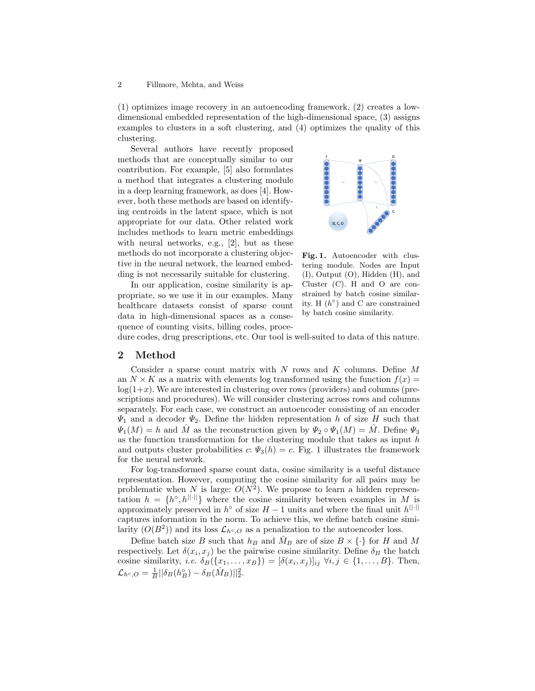(1) optimizes image recovery in an autoencoding framework, (2) creates a lowdimensional embedded representation of the high-dimensional space, (3) assigns examples to clusters in a soft clustering, and (4) optimizes the quality of this clustering.

Several authors have recently proposed methods that are conceptually similar to our contribution. For example, [5] also formulates a method that integrates a clustering module in a deep learning framework, as does [4]. However, both these methods are based on identifying centroids in the latent space, which is not appropriate for our data. Other related work includes methods to learn metric embeddings with neural networks, e.g., [2], but as these methods do not incorporate a clustering objective in the neural network, the learned embedding is not necessarily suitable for clustering.

In our application, cosine similarity is appropriate, so we use it in our examples. Many healthcare datasets consist of sparse count data in high-dimensional spaces as a consequence of counting visits, billing codes, proce-



Fig. 1. Autoencoder with clustering module. Nodes are Input (I), Output (O), Hidden (H), and Cluster (C). H and O are constrained by batch cosine similarity. H  $(h^{\circ})$  and C are constrained by batch cosine similarity.

dure codes, drug prescriptions, etc. Our tool is well-suited to data of this nature.

## 2 Method

Consider a sparse count matrix with  $N$  rows and  $K$  columns. Define  $M$ an  $N \times K$  as a matrix with elements log transformed using the function  $f(x) =$  $log(1+x)$ . We are interested in clustering over rows (providers) and columns (prescriptions and procedures). We will consider clustering across rows and columns separately. For each case, we construct an autoencoder consisting of an encoder  $\Psi_1$  and a decoder  $\Psi_2$ . Define the hidden representation h of size H such that  $\Psi_1(M) = h$  and M as the reconstruction given by  $\Psi_2 \circ \Psi_1(M) = M$ . Define  $\Psi_3$ as the function transformation for the clustering module that takes as input  $h$ and outputs cluster probabilities c:  $\Psi_3(h) = c$ . Fig. 1 illustrates the framework for the neural network.

For log-transformed sparse count data, cosine similarity is a useful distance representation. However, computing the cosine similarity for all pairs may be problematic when N is large:  $O(N^2)$ . We propose to learn a hidden representation  $h = \{h^{\circ}, h^{\|\cdot\|}\}\$  where the cosine similarity between examples in M is approximately preserved in  $h^{\circ}$  of size  $H-1$  units and where the final unit  $h^{\|\cdot\|}$ captures information in the norm. To achieve this, we define batch cosine similarity  $(O(B<sup>2</sup>))$  and its loss  $\mathcal{L}_{h<sup>°</sup>,O}$  as a penalization to the autoencoder loss.

Define batch size B such that  $h_B$  and  $\hat{M}_B$  are of size  $B \times \{\cdot\}$  for H and M respectively. Let  $\delta(x_i, x_j)$  be the pairwise cosine similarity. Define  $\delta_B$  the batch cosine similarity, *i.e.*  $\delta_B(\{x_1,\ldots,x_B\}) = [\delta(x_i,x_j)]_{ij}$   $\forall i,j \in \{1,\ldots,B\}$ . Then,  $\mathcal{L}_{h^{\circ},O} = \frac{1}{B} ||\delta_B(h_B^{\circ}) - \delta_B(\hat{M}_B)||_2^2.$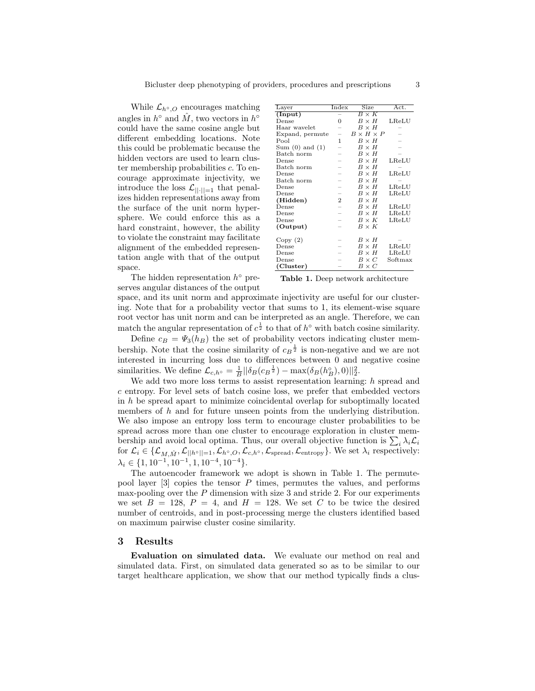While  $\mathcal{L}_{h^{\circ},O}$  encourages matching angles in  $h^{\circ}$  and  $\hat{M}$ , two vectors in  $h^{\circ}$ could have the same cosine angle but different embedding locations. Note this could be problematic because the hidden vectors are used to learn cluster membership probabilities c. To encourage approximate injectivity, we introduce the loss  $\mathcal{L}_{\left|\left|\cdot\right|\right|=1}$  that penalizes hidden representations away from the surface of the unit norm hypersphere. We could enforce this as a hard constraint, however, the ability to violate the constraint may facilitate alignment of the embedded representation angle with that of the output space.

| $\overline{\text{Layer}}$   | Index                    | <b>Size</b>           | Act.    |  |  |
|-----------------------------|--------------------------|-----------------------|---------|--|--|
| $(\overline{\text{Input}})$ |                          | $B \times K$          |         |  |  |
| $\mathop{\mathrm{Dense}}$   | $\overline{0}$           | $B \times H$          | LReLU   |  |  |
| Haar wavelet                |                          | $B \times H$          |         |  |  |
| Expand, permute             | $\overline{\phantom{0}}$ | $B \times H \times P$ |         |  |  |
| Pool                        | 1                        | $B \times H$          |         |  |  |
| Sum $(0)$ and $(1)$         |                          | $B \times H$          |         |  |  |
| Batch norm                  |                          | $B \times H$          |         |  |  |
| Dense                       | -                        | $B \times H$          | LReLU   |  |  |
| Batch norm                  |                          | $B \times H$          |         |  |  |
| $\mathop{\mathrm{Dense}}$   | $\overline{\phantom{0}}$ | $B \times H$          | LReLU   |  |  |
| Batch norm                  | $\overline{\phantom{0}}$ | $B \times H$          |         |  |  |
| $\mathop{\mathrm{Dense}}$   |                          | $B \times H$          | LReLU   |  |  |
| $\rm Dense$                 | $\overline{\phantom{0}}$ | $B \times H$          | LReLU   |  |  |
| (Hidden)                    | $\overline{2}$           | $B \times H$          |         |  |  |
| $\mathop{\mathrm{Dense}}$   | $\overline{\phantom{0}}$ | $B \times H$          | LReLU   |  |  |
| Dense                       | $\overline{\phantom{0}}$ | $B \times H$          | LReLU   |  |  |
| Dense                       | $\overline{\phantom{0}}$ | $B \times K$          | LReLU   |  |  |
| (Output)                    |                          | $B \times K$          |         |  |  |
| Copy (2)                    |                          | $B \times H$          |         |  |  |
| $\rm Dense$                 |                          | $B \times H$          | LReLU   |  |  |
| Dense                       |                          | $B \times H$          | LReLU   |  |  |
| Dense                       |                          | $B \times C$          | Softmax |  |  |
| (Cluster)                   |                          | $B \times C$          |         |  |  |
|                             |                          |                       |         |  |  |

The hidden representation  $h^{\circ}$  preserves angular distances of the output

Table 1. Deep network architecture

space, and its unit norm and approximate injectivity are useful for our clustering. Note that for a probability vector that sums to 1, its element-wise square root vector has unit norm and can be interpreted as an angle. Therefore, we can match the angular representation of  $c^{\frac{1}{2}}$  to that of  $h^{\circ}$  with batch cosine similarity.

Define  $c_B = \Psi_3(h_B)$  the set of probability vectors indicating cluster membership. Note that the cosine similarity of  $c_B^{\frac{1}{2}}$  is non-negative and we are not interested in incurring loss due to differences between 0 and negative cosine similarities. We define  $\mathcal{L}_{c,h} \circ = \frac{1}{B} || \delta_B(c_B^{\frac{1}{2}}) - \max(\delta_B(h_B^{\circ}), 0) ||_2^2$ .

We add two more loss terms to assist representation learning: h spread and c entropy. For level sets of batch cosine loss, we prefer that embedded vectors in h be spread apart to minimize coincidental overlap for suboptimally located members of  $h$  and for future unseen points from the underlying distribution. We also impose an entropy loss term to encourage cluster probabilities to be spread across more than one cluster to encourage exploration in cluster membership and avoid local optima. Thus, our overall objective function is  $\sum_i \lambda_i \mathcal{L}_i$ for  $\mathcal{L}_i \in \{\mathcal{L}_{M,\hat{M}}, \mathcal{L}_{||h^o||=1}, \mathcal{L}_{h^o,O}, \mathcal{L}_{c,h^o}, \mathcal{L}_{\text{spread}}, \mathcal{L}_{\text{entropy}}\}$ . We set  $\lambda_i$  respectively:  $\lambda_i \in \{1, 10^{-1}, 10^{-1}, 1, 10^{-4}, 10^{-4}\}.$ 

The autoencoder framework we adopt is shown in Table 1. The permutepool layer  $[3]$  copies the tensor P times, permutes the values, and performs max-pooling over the  $P$  dimension with size 3 and stride 2. For our experiments we set  $B = 128$ ,  $P = 4$ , and  $H = 128$ . We set C to be twice the desired number of centroids, and in post-processing merge the clusters identified based on maximum pairwise cluster cosine similarity.

### 3 Results

Evaluation on simulated data. We evaluate our method on real and simulated data. First, on simulated data generated so as to be similar to our target healthcare application, we show that our method typically finds a clus-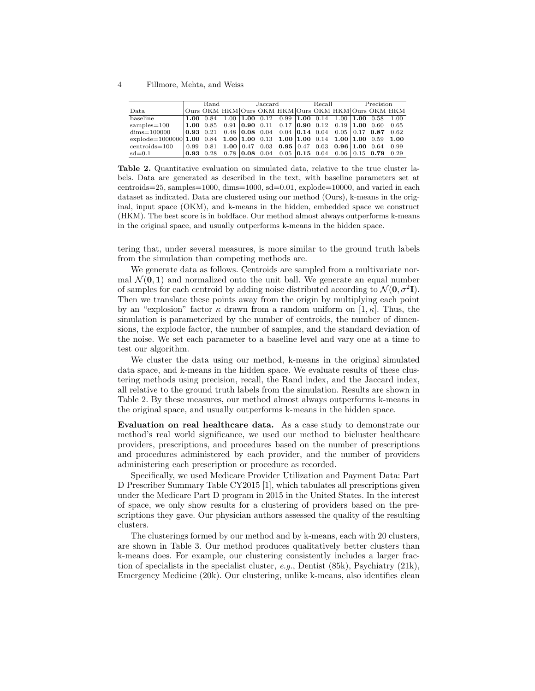#### 4 Fillmore, Mehta, and Weiss

|                                                                                | Rand |  | Jaccard                                                                                                                                                                                 |  | Recall |  |  | Precision |  |  |  |                                                     |
|--------------------------------------------------------------------------------|------|--|-----------------------------------------------------------------------------------------------------------------------------------------------------------------------------------------|--|--------|--|--|-----------|--|--|--|-----------------------------------------------------|
| Data                                                                           |      |  |                                                                                                                                                                                         |  |        |  |  |           |  |  |  | Ours OKM HKM Ours OKM HKM Ours OKM HKM Ours OKM HKM |
| baseline                                                                       |      |  | $\begin{array}{ccccccccc} \n\textbf{1.00} & 0.84 & 1.00 & \n\textbf{1.00} & \n\textbf{1.00} & 0.12 & 0.99 & \n\textbf{1.00} & 0.14 & 1.00 & \n\textbf{1.00} & 0.58 & 1.00\n\end{array}$ |  |        |  |  |           |  |  |  |                                                     |
| $samples = 100$                                                                |      |  | $\vert 1.00 \vert 0.85 \vert 0.91 \vert 0.90 \vert 0.11 \vert 0.17 \vert 0.90 \vert 0.12 \vert 0.19 \vert 1.00 \vert 0.60 \vert 0.65$                                                   |  |        |  |  |           |  |  |  |                                                     |
| $\text{dim}\mathbf{s} = 100000$                                                |      |  | $\begin{array}{ccccccccc} 0.93 & 0.21 & 0.48 & 0.08 & 0.04 & 0.04 & 0.14 & 0.04 & 0.05 & 0.17 & 0.87 & 0.62 \end{array}$                                                                |  |        |  |  |           |  |  |  |                                                     |
| explode=1000000 1.00 0.84 1.00  1.00 0.13 1.00  1.00 0.14 1.00  1.00 0.59 1.00 |      |  |                                                                                                                                                                                         |  |        |  |  |           |  |  |  |                                                     |
| $centroids = 100$                                                              |      |  | $\vert 0.99 \, 0.81 \, 1.00 \, \vert 0.47 \, 0.03 \, 0.95 \, \vert 0.47 \, 0.03 \, 0.96 \, \vert 1.00 \, 0.64 \, 0.99$                                                                  |  |        |  |  |           |  |  |  |                                                     |
| $sd = 0.1$                                                                     |      |  | $\begin{array}{ccccccccc} \textbf{0.93} & 0.28 & 0.78 & \textbf{0.08} & 0.04 & 0.05 & \textbf{0.15} & 0.04 & 0.06 & 0.15 & \textbf{0.79} & 0.29 \end{array}$                            |  |        |  |  |           |  |  |  |                                                     |

Table 2. Quantitative evaluation on simulated data, relative to the true cluster labels. Data are generated as described in the text, with baseline parameters set at centroids=25, samples=1000, dims=1000, sd=0.01, explode=10000, and varied in each dataset as indicated. Data are clustered using our method (Ours), k-means in the original, input space (OKM), and k-means in the hidden, embedded space we construct (HKM). The best score is in boldface. Our method almost always outperforms k-means in the original space, and usually outperforms k-means in the hidden space.

tering that, under several measures, is more similar to the ground truth labels from the simulation than competing methods are.

We generate data as follows. Centroids are sampled from a multivariate normal  $\mathcal{N}(\mathbf{0}, \mathbf{1})$  and normalized onto the unit ball. We generate an equal number of samples for each centroid by adding noise distributed according to  $\mathcal{N}(0, \sigma^2 I)$ . Then we translate these points away from the origin by multiplying each point by an "explosion" factor  $\kappa$  drawn from a random uniform on [1, $\kappa$ ]. Thus, the simulation is parameterized by the number of centroids, the number of dimensions, the explode factor, the number of samples, and the standard deviation of the noise. We set each parameter to a baseline level and vary one at a time to test our algorithm.

We cluster the data using our method, k-means in the original simulated data space, and k-means in the hidden space. We evaluate results of these clustering methods using precision, recall, the Rand index, and the Jaccard index, all relative to the ground truth labels from the simulation. Results are shown in Table 2. By these measures, our method almost always outperforms k-means in the original space, and usually outperforms k-means in the hidden space.

Evaluation on real healthcare data. As a case study to demonstrate our method's real world significance, we used our method to bicluster healthcare providers, prescriptions, and procedures based on the number of prescriptions and procedures administered by each provider, and the number of providers administering each prescription or procedure as recorded.

Specifically, we used Medicare Provider Utilization and Payment Data: Part D Prescriber Summary Table CY2015 [1], which tabulates all prescriptions given under the Medicare Part D program in 2015 in the United States. In the interest of space, we only show results for a clustering of providers based on the prescriptions they gave. Our physician authors assessed the quality of the resulting clusters.

The clusterings formed by our method and by k-means, each with 20 clusters, are shown in Table 3. Our method produces qualitatively better clusters than k-means does. For example, our clustering consistently includes a larger fraction of specialists in the specialist cluster, e.g., Dentist (85k), Psychiatry (21k), Emergency Medicine (20k). Our clustering, unlike k-means, also identifies clean